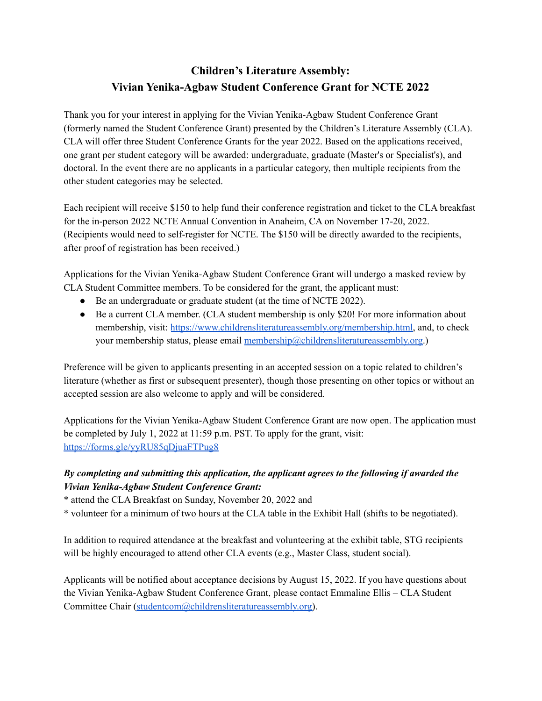## **Children's Literature Assembly: Vivian Yenika-Agbaw Student Conference Grant for NCTE 2022**

Thank you for your interest in applying for the Vivian Yenika-Agbaw Student Conference Grant (formerly named the Student Conference Grant) presented by the Children's Literature Assembly (CLA). CLA will offer three Student Conference Grants for the year 2022. Based on the applications received, one grant per student category will be awarded: undergraduate, graduate (Master's or Specialist's), and doctoral. In the event there are no applicants in a particular category, then multiple recipients from the other student categories may be selected.

Each recipient will receive \$150 to help fund their conference registration and ticket to the CLA breakfast for the in-person 2022 NCTE Annual Convention in Anaheim, CA on November 17-20, 2022. (Recipients would need to self-register for NCTE. The \$150 will be directly awarded to the recipients, after proof of registration has been received.)

Applications for the Vivian Yenika-Agbaw Student Conference Grant will undergo a masked review by CLA Student Committee members. To be considered for the grant, the applicant must:

- Be an undergraduate or graduate student (at the time of NCTE 2022).
- Be a current CLA member. (CLA student membership is only \$20! For more information about membership, visit: [https://www.childrensliteratureassembly.org/membership.html,](https://www.childrensliteratureassembly.org/membership.html) and, to check your membership status, please email [membership@childrensliteratureassembly.org.](mailto:membership@childrensliteratureassembly.org))

Preference will be given to applicants presenting in an accepted session on a topic related to children's literature (whether as first or subsequent presenter), though those presenting on other topics or without an accepted session are also welcome to apply and will be considered.

Applications for the Vivian Yenika-Agbaw Student Conference Grant are now open. The application must be completed by July 1, 2022 at 11:59 p.m. PST. To apply for the grant, visit: <https://forms.gle/yyRU85qDjuaFTPug8>

## *By completing and submitting this application, the applicant agrees to the following if awarded the Vivian Yenika-Agbaw Student Conference Grant:*

\* attend the CLA Breakfast on Sunday, November 20, 2022 and

\* volunteer for a minimum of two hours at the CLA table in the Exhibit Hall (shifts to be negotiated).

In addition to required attendance at the breakfast and volunteering at the exhibit table, STG recipients will be highly encouraged to attend other CLA events (e.g., Master Class, student social).

Applicants will be notified about acceptance decisions by August 15, 2022. If you have questions about the Vivian Yenika-Agbaw Student Conference Grant, please contact Emmaline Ellis – CLA Student Committee Chair [\(studentcom@childrensliteratureassembly.org\)](mailto:studentcom@childrensliteratureassembly.org).